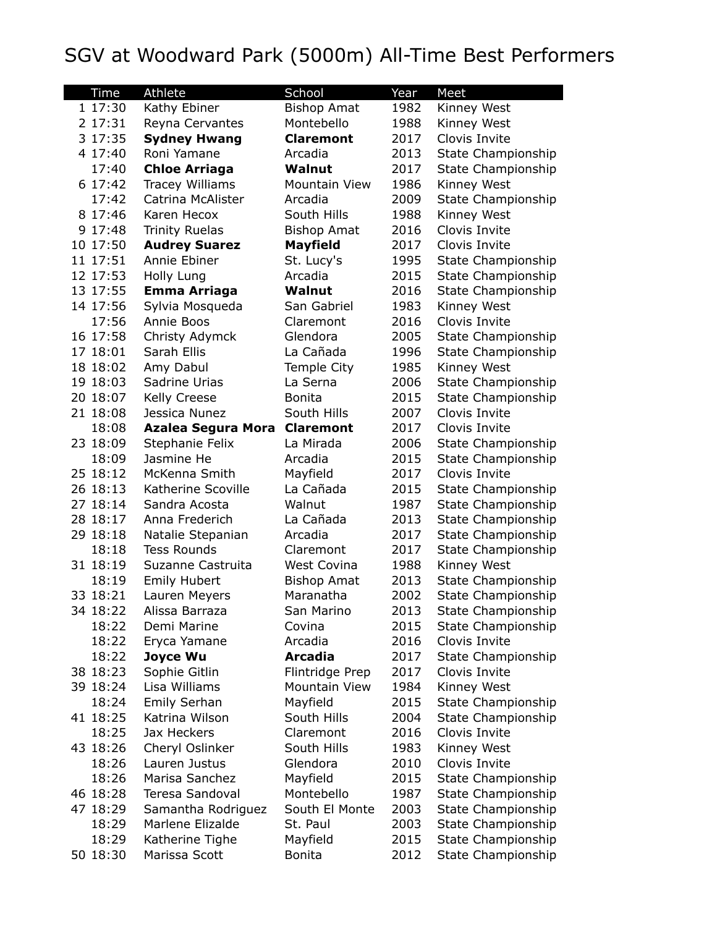## SGV at Woodward Park (5000m) All-Time Best Performers

| Time     | Athlete                | School               | Year | Meet                      |
|----------|------------------------|----------------------|------|---------------------------|
| 1 17:30  | Kathy Ebiner           | <b>Bishop Amat</b>   | 1982 | Kinney West               |
| 2 17:31  | Reyna Cervantes        | Montebello           | 1988 | Kinney West               |
| 3 17:35  | <b>Sydney Hwang</b>    | <b>Claremont</b>     | 2017 | Clovis Invite             |
| 4 17:40  | Roni Yamane            | Arcadia              | 2013 | State Championship        |
| 17:40    | <b>Chloe Arriaga</b>   | Walnut               | 2017 | State Championship        |
| 6 17:42  | <b>Tracey Williams</b> | <b>Mountain View</b> | 1986 | Kinney West               |
| 17:42    | Catrina McAlister      | Arcadia              | 2009 | State Championship        |
| 8 17:46  | Karen Hecox            | South Hills          | 1988 | Kinney West               |
| 9 17:48  | <b>Trinity Ruelas</b>  | <b>Bishop Amat</b>   | 2016 | Clovis Invite             |
| 10 17:50 | <b>Audrey Suarez</b>   | <b>Mayfield</b>      | 2017 | Clovis Invite             |
| 11 17:51 | Annie Ebiner           | St. Lucy's           | 1995 | State Championship        |
| 12 17:53 | Holly Lung             | Arcadia              | 2015 | State Championship        |
| 13 17:55 | <b>Emma Arriaga</b>    | Walnut               | 2016 | State Championship        |
| 14 17:56 | Sylvia Mosqueda        | San Gabriel          | 1983 | Kinney West               |
| 17:56    | Annie Boos             | Claremont            | 2016 | Clovis Invite             |
| 16 17:58 | Christy Adymck         | Glendora             | 2005 | <b>State Championship</b> |
| 17 18:01 | Sarah Ellis            | La Cañada            | 1996 | State Championship        |
| 18 18:02 | Amy Dabul              | <b>Temple City</b>   | 1985 | Kinney West               |
| 19 18:03 | Sadrine Urias          | La Serna             | 2006 | State Championship        |
| 20 18:07 | Kelly Creese           | <b>Bonita</b>        | 2015 | State Championship        |
| 21 18:08 | Jessica Nunez          | South Hills          | 2007 | Clovis Invite             |
| 18:08    | Azalea Segura Mora     | <b>Claremont</b>     | 2017 | Clovis Invite             |
| 23 18:09 | Stephanie Felix        | La Mirada            | 2006 | State Championship        |
| 18:09    | Jasmine He             | Arcadia              | 2015 | State Championship        |
| 25 18:12 | McKenna Smith          | Mayfield             | 2017 | Clovis Invite             |
| 26 18:13 | Katherine Scoville     | La Cañada            | 2015 | <b>State Championship</b> |
| 27 18:14 | Sandra Acosta          | Walnut               | 1987 | <b>State Championship</b> |
| 28 18:17 | Anna Frederich         | La Cañada            | 2013 | State Championship        |
| 29 18:18 | Natalie Stepanian      | Arcadia              | 2017 | State Championship        |
| 18:18    | <b>Tess Rounds</b>     | Claremont            | 2017 | State Championship        |
| 31 18:19 | Suzanne Castruita      | <b>West Covina</b>   | 1988 | Kinney West               |
| 18:19    | <b>Emily Hubert</b>    | <b>Bishop Amat</b>   | 2013 | <b>State Championship</b> |
| 33 18:21 | Lauren Meyers          | Maranatha            | 2002 | <b>State Championship</b> |
| 34 18:22 | Alissa Barraza         | San Marino           | 2013 | <b>State Championship</b> |
| 18:22    | Demi Marine            | Covina               | 2015 | State Championship        |
| 18:22    | Eryca Yamane           | Arcadia              | 2016 | Clovis Invite             |
| 18:22    | Joyce Wu               | <b>Arcadia</b>       | 2017 | State Championship        |
| 38 18:23 | Sophie Gitlin          | Flintridge Prep      | 2017 | Clovis Invite             |
| 39 18:24 | Lisa Williams          | Mountain View        | 1984 | Kinney West               |
| 18:24    | Emily Serhan           | Mayfield             | 2015 | State Championship        |
| 41 18:25 | Katrina Wilson         | South Hills          | 2004 | State Championship        |
| 18:25    | Jax Heckers            | Claremont            | 2016 | Clovis Invite             |
| 43 18:26 | Cheryl Oslinker        | South Hills          | 1983 | Kinney West               |
| 18:26    | Lauren Justus          | Glendora             | 2010 | Clovis Invite             |
| 18:26    | Marisa Sanchez         | Mayfield             | 2015 | State Championship        |
| 46 18:28 | Teresa Sandoval        | Montebello           | 1987 | State Championship        |
| 47 18:29 | Samantha Rodriguez     | South El Monte       | 2003 | State Championship        |
| 18:29    | Marlene Elizalde       | St. Paul             | 2003 | State Championship        |
| 18:29    | Katherine Tighe        | Mayfield             | 2015 | State Championship        |
| 50 18:30 | Marissa Scott          | <b>Bonita</b>        | 2012 | State Championship        |